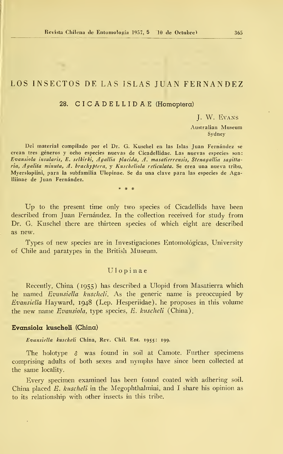# LOS INSECTOS DE LAS ISLAS JUAN FERNANDEZ

## 28. CICADELLIDAE (Homoptera)

J. W. Evans

Australian Museum Sydney

Del material compilado por el Dr. G. Kuschel en las Islas Juan Fernández se crean tres géneros y ocho especies nuevas de Cicadellidae. Las nuevas especies- son: Evansiola insularis, E. selkirki, Agallia placida, A. masatierrensis, Stenagallia sagittaria, Agalita minuta, A. brachyptera, y Kuscheliola reticulata. Se crea una nueva tribu, Myerslopiini, para la subfamilia Ulopinae. Se da una clave para las especies de Agalliinae de Juan Fernández.

Up to the present time only two species of Cicadellids have been described from Juan Fernández. In the collection received for study from Dr. G. Kuschel there are thirteen species of which eight are described as new.

Types of new species are in Investigaciones Entomológicas, University of Chile and paratypes in the British Museum.

## Ulopinae

Recently, China (1955) has described a Ulopid from Masatierra which he named Evansiella kuscheli. As the generic name is preoccupied by Bvansiella Hayward, 1948 (Lep. Hesperiidae), he proposes in this volume the new name  $Evansiola$ , type species, E. kuscheli (China).

### Evansiola kuscheli (China)

Evanslella kuscheli China, Rev. Chil. Ent. 1955: 199.

The holotype  $\delta$  was found in soil at Camote. Further specimens comprising adults of both sexes and nymphs have since been collected at the same locality.

Every specimen examined has been found coated with adhering soil. China placed E. kuscheli in the Megophthalmini, and I share his opinion as to its relationship with other insects in this tribe.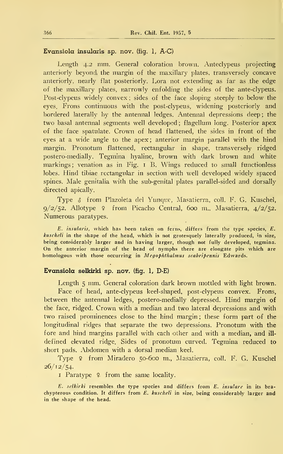## Evansiola insularis sp. nov. (fig. 1, A-C)

Length 4.2 mm. General coloration brown. Anteclypeus projecting anteriorly beyond, the margin of the maxillary plates, transversely concave anteriorly, nearly fíat posteriorly. L,ora not extending as far as the edge of the maxillary plates, narrowly enfolding the sides of the ante-clypeus. Post-clypeus widely convex ; sides of the face sloping steeply to below the eyes. Frons continuous with the post-clypeus, widening posteriorly and bordered laterally by the antennal ledges. Antennal depressions deep ; the two basal antennal segments well developed; flagellum long. Posterior apex of the face spatulate. Crown of head flattened, the sides in front of the eyes at a wide angle to the apex; anterior margin parallel with the hind margin. Pronotum flattened, rectangular in shape, transversely ridged postero-medially. Tegmina hyaline, brown with dark brown and white markings; venation as in Fig. 1 B. Wings reduced to small functionless lobes. Hind tibiae rectangular in section with well developed widely spaced spines. Male genitalia with the sub-genital plates parallel-sided and dorsally directed apically.

Type & from Plazoleta del Yunque, Masatierra, coll. F. G. Kuschel,  $9/2/52$ . Allotype ? from Picacho Central, 600 m., Masatierra,  $4/2/52$ . Numerous paratypes.

E. insularis, which has been taken on ferns, differs from the type species, E. kuscheli in the shape of the head, which is not grotesquely laterally produced, in size, being considerably larger and in having larger, though not fully developed, tegmina. On the anterior margin of the head of nymphs there are elongate pits which are homologous with those occurring in Megophthalmus scabripennis Edwards.

## Evansiola selkirki sp. nov. (fig. 1, D-E)

Length <sup>5</sup> mm. General coloration dark brown mottled with light brown. Face of head, ante-clypeus keel-shaped, post-clypeus convex. Frons, between the antennal ledges, postero-medially depressed. Hind margin of the face, ridged. Crown with a median and two lateral depressions and with two raised prominences close to the hind margin; these form part of the longitudinal ridges that separate the two depressions. Pronotum with the fore and hind margins parallel with cach olher and with a median, and ill defined elevated ridge. Sides of pronotum curved. Tegmina reduced to short pads. Abdomen with a dorsal median keel.

Type 9 from Miradero 50-600 m., Masatierra, coll. F. G. Kuschel 26/12/54.

I Paratype  $\varphi$  from the same locality.

E. selkirki resembles the type species and differs from  $E$ . insulare in its brachypterous condition. It differs from E. kuscheli in size, being considerably larger and in the shape of the head.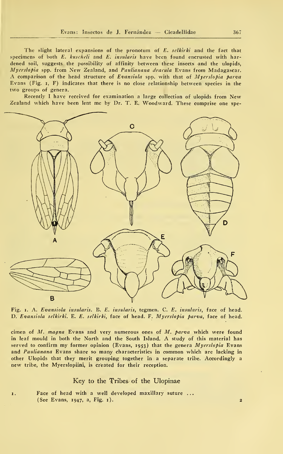The slight lateral expansions of the pronotum of E. selkirki and the fact that specimens of both  $E$ . kuscheli and  $E$ : insularis have been found encrusted with hardened soil, suggests the possibility of affinity between these insects and the ulopids, Myerslopia spp. from New Zealand, and Paulianana dracula Evans from Madagascar. A comparison of the head structure of Evansiola spp. with that of Myerslopia parva Evans (Fig. i, F) indicates that there is no cióse relationship between species in the two groups of genera.

Recently <sup>I</sup> have received for examination <sup>a</sup> large collection of ulopids from New Zealand which have been lent me by Dr. T. E. Woodward. These comprise one spe-



Fig. i. A. Evansiola insularis. B. E. insularis, tegmen. C. E. insularis, face of head. D. Evansiola selkirki. E. E. selkirki, face of head. F. Myerslopia parva, face of head.

cimen of  $M$ . magna Evans and very numerous ones of  $M$ . parva which were found in leaf mould in both the North and the South Island. A study of this material has served to confirm my former opinion (Evans, 1953) that the genera  $Myerslopia$  Evans and Paulianana Evans share so many characteristics in common which are lacking in other Ulopids that they merit grouping together in a separate tribe. Accordingly a new tribe, the Myerslopiini, is created for their reception.

## Key to the Tribes of the Ulopinae

Face of head with a well developed maxillary suture ... (See Evans, 1947, a, Fig. 1).

1.

 $\overline{2}$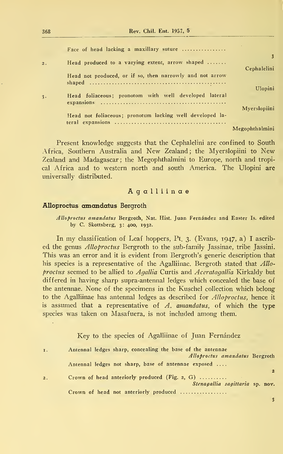368 Rev. Chil. Ent. 1957, 5

|                  | Face of head lacking a maxillary suture                  |    |
|------------------|----------------------------------------------------------|----|
| 3<br>Cephalelini | Head produced to a varying extent, arrow shaped          | 2. |
|                  | Head not produced, or if so, then narrowly and not arrow |    |
| Ulopini          | Head foliaceous; pronotom with well developed lateral    | 3. |
| Myerslopiini     | Head not foliaceous; pronotum lacking well developed la- |    |
| Megophthalmini   |                                                          |    |

Present knowledge suggests that the Cephalelini are confined to South África, Southern Australia and New Zealand; the Myerslopiini to New Zealand and Madagascar ; the Megophthalmini to Europe, north and tropical África and to western north and south America. The Ulopini are universally distributed.

## Agalliinae

## Alloproctus amandatus Bergroth

Alloproctus amandatus Bergroth, Nat. Hist. Juan Fernández and Easter Is. edited by C. Skottsberg, 3: 400, 1932.

In my classification of Leaf hoppers, Pt. 3. (Evans, 1947, a) <sup>I</sup> ascribed the genus *Alloproctus* Bergroth to the sub-family Jassinae, tribe Jassini. This was an error and it is evident from Bergroth's generic description that his species is a representative of the Agalliinae. Bergroth stated that Alloproctus seemed to be allied to  $A$ gallia Curtis and  $A$ ceratagallia Kirkaldy but differed in having sharp supra-antennal ledges which concealed the base of the antennae. None of the specimens in the Kuschel collection which belong to the Agalliinae has antennal ledges as described for *Alloproctus*, hence it is assumed that a representative of  $\Lambda$ . amandatus, of which the type species was taken on Masafuera, is not included among them.

Key to the species of Agalliinae of Juan Fernández

| I. | Antennal ledges sharp, concealing the base of the antennae |
|----|------------------------------------------------------------|
|    | Alloproctus amandatus Bergroth                             |
|    | Antennal ledges not sharp, base of antennae exposed        |
|    | $\mathbf{z}$                                               |
| 2. | Crown of head anteriorly produced (Fig. 2, G) $\ldots$     |
|    | Stenagallia sagittaria sp. nov.                            |
|    | Crown of head not anteriorly produced                      |

3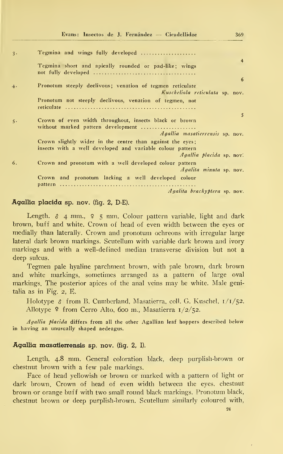| 3. | Tegmina and wings fully developed                                                                                      |
|----|------------------------------------------------------------------------------------------------------------------------|
|    | $\overline{4}$<br>Tegmina short and apically rounded or pad-like; wings                                                |
|    | 6                                                                                                                      |
| 4. | Pronotum steeply declivous; venation of tegmen reticulate                                                              |
|    | Kuscheliola reticulata sp. nov.                                                                                        |
|    | Pronotum not steeply declivous, venation of tegmen, not                                                                |
|    | 5                                                                                                                      |
| 5. | Crown of even width throughout, insects black or brown<br>without marked pattern development                           |
|    | Agallia masatierrensis sp. nov.                                                                                        |
|    | Crown slightly wider in the centre than against the eyes;<br>insects with a well developed and variable colour pattern |
|    | <i>Agallia placida</i> sp. nov.                                                                                        |
| 6. | Crown and pronotum with a well developed colour pattern<br>Agalita minuta sp. nov.                                     |
|    | Crown and pronotum lacking a well developed colour                                                                     |
|    | <i>Agalita brachyptera</i> sp. nov.                                                                                    |
|    |                                                                                                                        |

## Agallia placida sp. nov. (fig. 2, D-E).

Length.  $\delta$  4 mm.,  $\epsilon$  5 mm. Colour pattern variable, light and dark brown, buff and white. Crown of head of even width between the eyes or medially than laterally. Crown and pronotum ochreous with irregular large lateral dark brown markings. Scutellum with variable dark brown and ivory markings and with a well-defined median transverse division but not a deep sulcus.

Tegmen palé hyaline parchment brown, with palé brown, dark brown and white markings, sometimes arranged as a pattern of large oval markings. The posterior apices of the anal veins may be white. Male genitalia as in Fig. 2, E.

Holotype  $\delta$  from B. Cumberland, Masatierra, coll. G. Kuschel,  $1/1/52$ . Allotype ? from Cerro Alto, 600 m., Masatierra 1/2/52.

Agallia placida differs from all the other Agallian leaf hoppers described below in having an unusually shaped aedeagus.

## Agallia masatierrensis sp. nov. (fig. 2, I).

Length, 4.8 mm. General coloration black, deep purplish-brown or chestnut brown with a few palé markings.

Face of head yellowish or brown or marked with a pattern of light or dark brown. Crown of head of even width between the eyes, chestnut brown or orange buff with two small round black markings. Pronotum black, chestnut brown or deep purplish-brown. Scutellum similarly coloured with,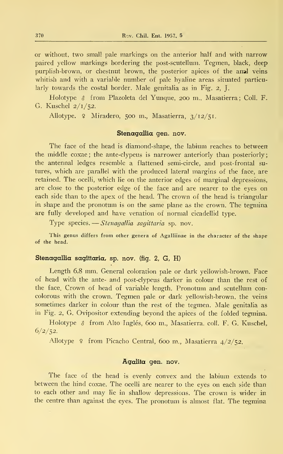or without, two small palé markings on the anterior half and with narrow paired yellow markings bordering the post-scutellum. Tegmen, black, deep purplish-brown, or chestnut brown, the posterior apices of the anal veins whitish and with a variable number of pale hyaline areas situated particularly towards the costal border. Male genitalia as in Fig. 2, J.

Holotype & from Plazoleta del Yunque, 200 m., Masatierra; Coll. F. G. Kuschel 2/1/52.

Allotype. <sup>2</sup> Miradero, 500 m., Masatierra, 3/12/51/

#### Stenagallia gen. nov.

The face of the head is diamond-shape, the labium reaches to between the middle coxae; the ante-clypeus is narrower anteriorly than posteriorly; the antennal ledges resemble a flattened semi-circle, and post-frontal sutures, which are parallel with the produced lateral margins of the face, are retained. The ocelli, which lie on the anterior edges of marginal depressions, are close to the posterior edge of the face and are nearer to the eyes on each side than to the apex of the head. The crown of the head is triangular in shape and the pronotum is on the same plane as the crown. The tegmina are fully developed and have venation of normal cicadellid type.

Type species.— *Stenagallia sagittaria* sp. nov.

This genus differs from other genera of Agalliinae in the character of the shape of the head.

## Stenagallia sagittaria, sp. nov. (fig. 2, G, H)

Length 6.8 mm. General coloration palé or dark yellowish-brown. Face of head with the ante- and post-clypeus darker in colour than the rest of the face. Crown of head of variable length. Pronotum and scutellum concolorous with the crown. Tegmen palé or dark yellowish-brown, the veins sometimes darker in colour than the rest of the tegmen. Male genitalia as in Fig. 2, G. Ovipositor extending beyond the ápices of the folded tegmina.

Holotype  $\delta$  from Alto Inglés, 600 m., Masatierra. coll. F. G. Kuschel,  $6/2/52$ .

Allotype º from Picacho Central, 600 m., Masatierra 4/2/52.

## Agalita gen. nov.

The face of the head is evenly convex and the labium extends to between the hind coxae. The ocelli are nearer to the eyes on each side than to each other and may lie in shallow depressions. The crown is wider in the centre than against the eyes. The pronotum is almost fíat. The tegmina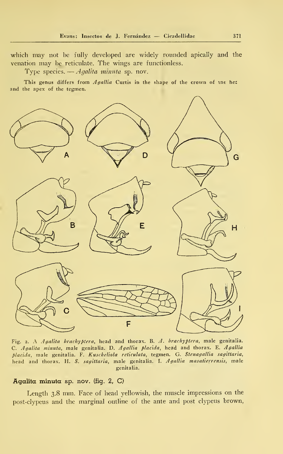which may not be fully developed are widely rounded apically and the venation may be reticulate. The wings are functionless.

Type species.  $\rightarrow$  *Agalita minuta* sp. nov.

This genus differs from Agallia Curtis in the shape of the crown of tne he: and the apex of the tegmen.



Fig. 2. A Agalita brachyptera, head and thorax. B. A. brachyptera, male genitalia. C. Agalita minuta, male genitalia. D. Agallia placida, head and thorax. E. Agallia placida, male genitalia. F. Kuscheliola reticulata, tegmen. G. Stenagallia sagittaria, head and thorax. H. S. sagittaria, male genitalia. I. Agallia masatierrensis, male genitalia.

## Agalita minuta sp. nov. (fig. 2, C)

Length 3.8 mm. Face of head yellowish, the muscle impressions on the post-clypeus and the marginal outline of the ante and post clypeus brown,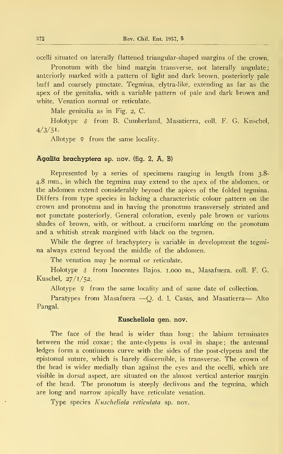ocelli situated on laterally flattened triangular-shaped margins of the crown.

Pronotum with the hind margin transverse, not laterally angulate; anteriorly marked with a pattern of light and dark brown, posteriorly palé buff and coarsely punctate. Tegmina, elytra-like, extending as far as the apex of the genitalia, with a variable pattern of palé and dark brown and white. Venation normal or reticulate.

Male genitalia as in Fig. 2, C.

Holotype & from B. Cumberland, Masatierra, coll. F. G. Kuschel,  $4/3/51$ .

Allotype  $\varphi$  from the same locality.

## Agalita brachyptera sp. nov. (fig. 2, A, B)

Represented by a series of specimens ranging in length from 3.8- 4.8 mm., in which the tegmina may extend to the apex of the abdomen, or the abdomen extend considerably beyond the ápices of the folded tegmina. Differs from type species in lacking a characteristic colour pattern on the crown and pronotum and in having the pronotum transversely striated and not punctate posteriorly. General coloration, evenly palé brown or various shades of brown, with, or without, a cruciform marking on the pronotum and a whitish streak margined with black on the tegmen.

While the degree of brachyptery is variable in development the tegmi na always extend beyond the middle of the abdomen.

The venation may be normal or reticulate.

Holotype & from Inocentes Bajos. 1.000 m., Masafuera. coll. F. G. Kuschel, 27/1/52.

Allotype  $\varphi$  from the same locality and of same date of collection.

Paratypes from Masafuera —Q. d. 1. Casas, and Masatierra— Alto Fangal.

## Euscheliola gen. nov.

The face of the head is wider than long; the labium terminates between the mid coxae; the ante-clypeus is oval in shape; the antennal ledges form a continuous curve with the sides of the post-clypeus and the epistomal suture, which is barely discernible, is transverse. The crown of the head is wider medially than against the eyes and the ocelli, which are visible in dorsal aspect, are situated on the almost vertical anterior margin of the head. The pronotum is steeply declivous and the tegmina, which are long and narrow apically have reticulate venation.

Type species Kuscheliola reticulata sp. nov.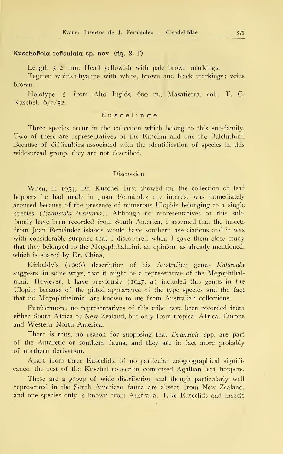## Kuscheliola reticulata sp. nov. (fig. 2, F)

Length 5.2 mm. Head yellowish with pale brown markings.

Tegmen whitish-hyaline with white, brown and black markings ; veins brown.

Holotype  $\delta$  from Alto Inglés, 600 m., Masatierra, coll. F. G. Kuschel, 6/2/52.

## Euscelinae

Three species occur in the collection which belong to this sub-family. Two of these are representatives of the Euselini and one the Balcluthini. Because of difficulties) associated with the identification of species in this widespread group, they are not described.

## Discussion

When, in 1954, Dr. Kuschel first showed me the collection of leaf hoppers he had made in Juan Fernández my interest was immediately aroused because of the presence of numerous Ulopids belonging to a single species (Evansiola insularis). Although no representatives of this subfamily have been recorded from South America, I assumed that the insects from Juan Fernández islands would have southern associations and itwas with considerable surprise that I discovered when I gave them close study that they belonged to the Megophthalmini, an opinión, as already mentioned, which is shared by Dr. China.

Kirkaldy's (1906) description of his Australian genus Kahavalu suggests, in some ways, that it might be a represetative of the Megophthalmini. However, <sup>I</sup> have previously (1947, a) included this genus in the Ulopini because of the pitted appearance of the type species and the fact that no Megophthalmini are known to me from Australian collections.

Purthermore, no representatives of this tribe have been recorded from either South África or New Zealand, but only from tropical África, Europe and Western North America.

There is thus, no reason for supposing that Evansiola spp. are part of the Antarctic or southern fauna, and they are in fact more probably of northern derivation.

Apart from three Euscelids, of no particular zoogeographical signifi cance, the rest of the Kuschel collection comprised Agallian leaf hoppers.

These are a group of wide distribution and though particularly well represented in the South American fauna are absent from New Zealand, and one species only is known from Australia. Like Euscelids and insects